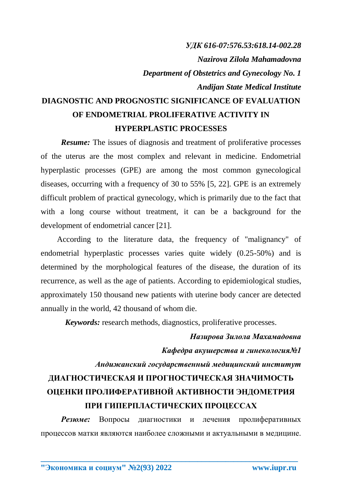## *УДК 616-07:576.53:618.14-002.28 Nazirova Zilola Mahamadovna Department of Obstetrics and Gynecology No. 1 Andijan State Medical Institute*

## **DIAGNOSTIC AND PROGNOSTIC SIGNIFICANCE OF EVALUATION OF ENDOMETRIAL PROLIFERATIVE ACTIVITY IN HYPERPLASTIC PROCESSES**

*Resume:* The issues of diagnosis and treatment of proliferative processes of the uterus are the most complex and relevant in medicine. Endometrial hyperplastic processes (GPE) are among the most common gynecological diseases, occurring with a frequency of 30 to 55% [5, 22]. GPE is an extremely difficult problem of practical gynecology, which is primarily due to the fact that with a long course without treatment, it can be a background for the development of endometrial cancer [21].

According to the literature data, the frequency of "malignancy" of endometrial hyperplastic processes varies quite widely (0.25-50%) and is determined by the morphological features of the disease, the duration of its recurrence, as well as the age of patients. According to epidemiological studies, approximately 150 thousand new patients with uterine body cancer are detected annually in the world, 42 thousand of whom die.

*Keywords:* research methods, diagnostics, proliferative processes.

*Назирова Зилола Махамадовна Кафедра акушерства и гинекология№1 Андижанский государственный медицинский институт* **ДИАГНОСТИЧЕСКАЯ И ПРОГНОСТИЧЕСКАЯ ЗНАЧИМОСТЬ ОЦЕНКИ ПРОЛИФЕРАТИВНОЙ АКТИВНОСТИ ЭНДОМЕТРИЯ ПРИ ГИПЕРПЛАСТИЧЕСКИХ ПРОЦЕССАХ**

*Резюме:* Вопросы диагностики и лечения пролиферативных процессов матки являются наиболее сложными и актуальными в медицине.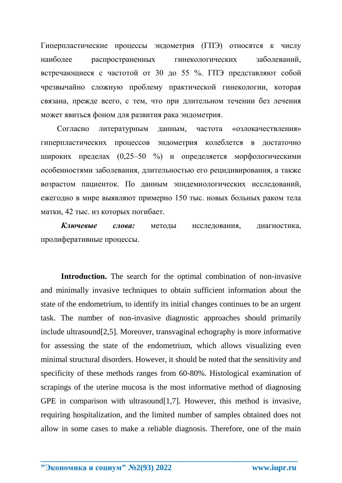Гиперпластические процессы эндометрия (ГПЭ) относятся к числу наиболее распространенных гинекологических заболеваний, встречающиеся с частотой от 30 до 55 %. ГПЭ представляют собой чрезвычайно сложную проблему практической гинекологии, которая связана, прежде всего, с тем, что при длительном течении без лечения может явиться фоном для развития рака эндометрия.

Согласно литературным данным, частота «озлокачествления» гиперпластических процессов эндометрия колеблется в достаточно широких пределах (0,25–50 %) и определяется морфологическими особенностями заболевания, длительностью его рецидивирования, а также возрастом пациенток. По данным эпидемиологических исследований, ежегодно в мире выявляют примерно 150 тыс. новых больных раком тела матки, 42 тыс. из которых погибает.

*Ключевые слова:* методы исследования, диагностика, пролиферативные процессы.

**Introduction.** The search for the optimal combination of non-invasive and minimally invasive techniques to obtain sufficient information about the state of the endometrium, to identify its initial changes continues to be an urgent task. The number of non-invasive diagnostic approaches should primarily include ultrasound[2,5]. Moreover, transvaginal echography is more informative for assessing the state of the endometrium, which allows visualizing even minimal structural disorders. However, it should be noted that the sensitivity and specificity of these methods ranges from 60-80%. Histological examination of scrapings of the uterine mucosa is the most informative method of diagnosing GPE in comparison with ultrasound [1,7]. However, this method is invasive, requiring hospitalization, and the limited number of samples obtained does not allow in some cases to make a reliable diagnosis. Therefore, one of the main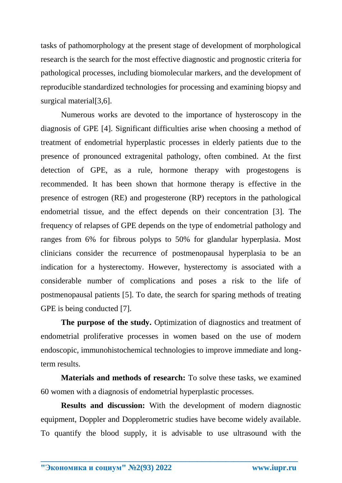tasks of pathomorphology at the present stage of development of morphological research is the search for the most effective diagnostic and prognostic criteria for pathological processes, including biomolecular markers, and the development of reproducible standardized technologies for processing and examining biopsy and surgical material [3,6].

Numerous works are devoted to the importance of hysteroscopy in the diagnosis of GPE [4]. Significant difficulties arise when choosing a method of treatment of endometrial hyperplastic processes in elderly patients due to the presence of pronounced extragenital pathology, often combined. At the first detection of GPE, as a rule, hormone therapy with progestogens is recommended. It has been shown that hormone therapy is effective in the presence of estrogen (RE) and progesterone (RP) receptors in the pathological endometrial tissue, and the effect depends on their concentration [3]. The frequency of relapses of GPE depends on the type of endometrial pathology and ranges from 6% for fibrous polyps to 50% for glandular hyperplasia. Most clinicians consider the recurrence of postmenopausal hyperplasia to be an indication for a hysterectomy. However, hysterectomy is associated with a considerable number of complications and poses a risk to the life of postmenopausal patients [5]. To date, the search for sparing methods of treating GPE is being conducted [7].

**The purpose of the study.** Optimization of diagnostics and treatment of endometrial proliferative processes in women based on the use of modern endoscopic, immunohistochemical technologies to improve immediate and longterm results.

**Materials and methods of research:** To solve these tasks, we examined 60 women with a diagnosis of endometrial hyperplastic processes.

**Results and discussion:** With the development of modern diagnostic equipment, Doppler and Dopplerometric studies have become widely available. To quantify the blood supply, it is advisable to use ultrasound with the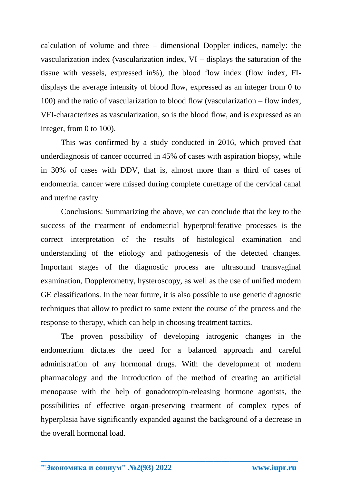calculation of volume and three – dimensional Doppler indices, namely: the vascularization index (vascularization index, VI – displays the saturation of the tissue with vessels, expressed in%), the blood flow index (flow index, FIdisplays the average intensity of blood flow, expressed as an integer from 0 to 100) and the ratio of vascularization to blood flow (vascularization – flow index, VFI-characterizes as vascularization, so is the blood flow, and is expressed as an integer, from 0 to 100).

This was confirmed by a study conducted in 2016, which proved that underdiagnosis of cancer occurred in 45% of cases with aspiration biopsy, while in 30% of cases with DDV, that is, almost more than a third of cases of endometrial cancer were missed during complete curettage of the cervical canal and uterine cavity

Conclusions: Summarizing the above, we can conclude that the key to the success of the treatment of endometrial hyperproliferative processes is the correct interpretation of the results of histological examination and understanding of the etiology and pathogenesis of the detected changes. Important stages of the diagnostic process are ultrasound transvaginal examination, Dopplerometry, hysteroscopy, as well as the use of unified modern GE classifications. In the near future, it is also possible to use genetic diagnostic techniques that allow to predict to some extent the course of the process and the response to therapy, which can help in choosing treatment tactics.

The proven possibility of developing iatrogenic changes in the endometrium dictates the need for a balanced approach and careful administration of any hormonal drugs. With the development of modern pharmacology and the introduction of the method of creating an artificial menopause with the help of gonadotropin-releasing hormone agonists, the possibilities of effective organ-preserving treatment of complex types of hyperplasia have significantly expanded against the background of a decrease in the overall hormonal load.